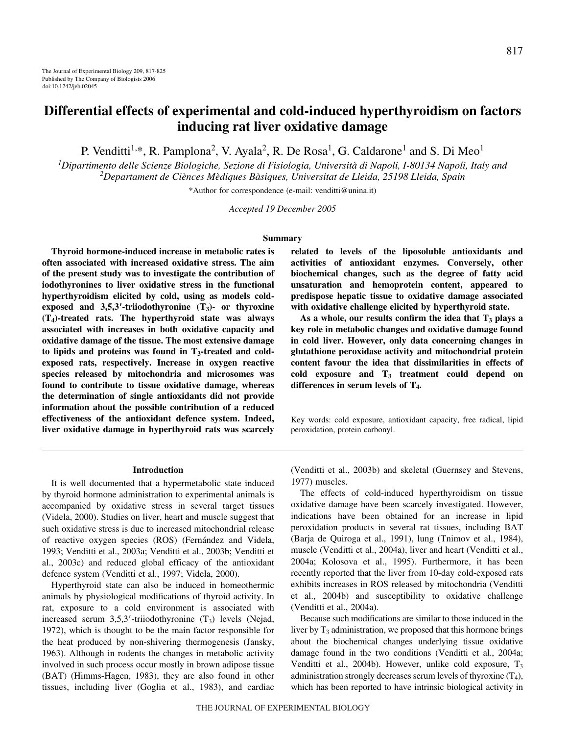# **Differential effects of experimental and cold-induced hyperthyroidism on factors inducing rat liver oxidative damage**

P. Venditti<sup>1,\*</sup>, R. Pamplona<sup>2</sup>, V. Ayala<sup>2</sup>, R. De Rosa<sup>1</sup>, G. Caldarone<sup>1</sup> and S. Di Meo<sup>1</sup>

*1 Dipartimento delle Scienze Biologiche, Sezione di Fisiologia, Università di Napoli, I-80134 Napoli, Italy and 2 Departament de Ciènces Mèdiques Bàsiques, Universitat de Lleida, 25198 Lleida, Spain*

\*Author for correspondence (e-mail: venditti@unina.it)

*Accepted 19 December 2005*

#### **Summary**

**Thyroid hormone-induced increase in metabolic rates is often associated with increased oxidative stress. The aim of the present study was to investigate the contribution of iodothyronines to liver oxidative stress in the functional hyperthyroidism elicited by cold, using as models cold**exposed and 3,5,3'-triiodothyronine (T<sub>3</sub>)- or thyroxine **(T4)-treated rats. The hyperthyroid state was always associated with increases in both oxidative capacity and oxidative damage of the tissue. The most extensive damage** to lipids and proteins was found in T<sub>3</sub>-treated and cold**exposed rats, respectively. Increase in oxygen reactive species released by mitochondria and microsomes was found to contribute to tissue oxidative damage, whereas the determination of single antioxidants did not provide information about the possible contribution of a reduced effectiveness of the antioxidant defence system. Indeed, liver oxidative damage in hyperthyroid rats was scarcely**

**related to levels of the liposoluble antioxidants and activities of antioxidant enzymes. Conversely, other biochemical changes, such as the degree of fatty acid unsaturation and hemoprotein content, appeared to predispose hepatic tissue to oxidative damage associated with oxidative challenge elicited by hyperthyroid state.**

As a whole, our results confirm the idea that  $T_3$  plays a **key role in metabolic changes and oxidative damage found in cold liver. However, only data concerning changes in glutathione peroxidase activity and mitochondrial protein content favour the idea that dissimilarities in effects of cold exposure and T3 treatment could depend on differences in serum levels of T4.**

Key words: cold exposure, antioxidant capacity, free radical, lipid peroxidation, protein carbonyl.

#### **Introduction**

It is well documented that a hypermetabolic state induced by thyroid hormone administration to experimental animals is accompanied by oxidative stress in several target tissues (Videla, 2000). Studies on liver, heart and muscle suggest that such oxidative stress is due to increased mitochondrial release of reactive oxygen species (ROS) (Fernández and Videla, 1993; Venditti et al., 2003a; Venditti et al., 2003b; Venditti et al., 2003c) and reduced global efficacy of the antioxidant defence system (Venditti et al., 1997; Videla, 2000).

Hyperthyroid state can also be induced in homeothermic animals by physiological modifications of thyroid activity. In rat, exposure to a cold environment is associated with increased serum  $3,5,3'$ -triiodothyronine  $(T_3)$  levels (Nejad, 1972), which is thought to be the main factor responsible for the heat produced by non-shivering thermogenesis (Jansky, 1963). Although in rodents the changes in metabolic activity involved in such process occur mostly in brown adipose tissue (BAT) (Himms-Hagen, 1983), they are also found in other tissues, including liver (Goglia et al., 1983), and cardiac

(Venditti et al., 2003b) and skeletal (Guernsey and Stevens, 1977) muscles.

The effects of cold-induced hyperthyroidism on tissue oxidative damage have been scarcely investigated. However, indications have been obtained for an increase in lipid peroxidation products in several rat tissues, including BAT (Barja de Quiroga et al., 1991), lung (Tnimov et al., 1984), muscle (Venditti et al., 2004a), liver and heart (Venditti et al., 2004a; Kolosova et al., 1995). Furthermore, it has been recently reported that the liver from 10-day cold-exposed rats exhibits increases in ROS released by mitochondria (Venditti et al., 2004b) and susceptibility to oxidative challenge (Venditti et al., 2004a).

Because such modifications are similar to those induced in the liver by  $T_3$  administration, we proposed that this hormone brings about the biochemical changes underlying tissue oxidative damage found in the two conditions (Venditti et al., 2004a; Venditti et al., 2004b). However, unlike cold exposure,  $T_3$ administration strongly decreases serum levels of thyroxine  $(T_4)$ , which has been reported to have intrinsic biological activity in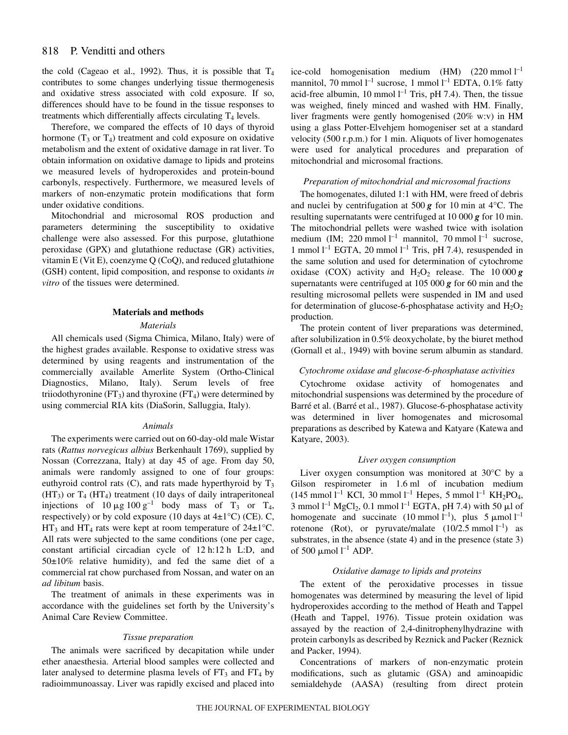#### 818 P. Venditti and others

the cold (Cageao et al., 1992). Thus, it is possible that  $T_4$ contributes to some changes underlying tissue thermogenesis and oxidative stress associated with cold exposure. If so, differences should have to be found in the tissue responses to treatments which differentially affects circulating  $T_4$  levels.

Therefore, we compared the effects of 10 days of thyroid hormone  $(T_3$  or  $T_4$ ) treatment and cold exposure on oxidative metabolism and the extent of oxidative damage in rat liver. To obtain information on oxidative damage to lipids and proteins we measured levels of hydroperoxides and protein-bound carbonyls, respectively. Furthermore, we measured levels of markers of non-enzymatic protein modifications that form under oxidative conditions.

Mitochondrial and microsomal ROS production and parameters determining the susceptibility to oxidative challenge were also assessed. For this purpose, glutathione peroxidase (GPX) and glutathione reductase (GR) activities, vitamin E (Vit E), coenzyme  $Q$  (CoQ), and reduced glutathione (GSH) content, lipid composition, and response to oxidants *in vitro* of the tissues were determined.

# **Materials and methods**

# *Materials*

All chemicals used (Sigma Chimica, Milano, Italy) were of the highest grades available. Response to oxidative stress was determined by using reagents and instrumentation of the commercially available Amerlite System (Ortho-Clinical Diagnostics, Milano, Italy). Serum levels of free triiodothyronine (FT<sub>3</sub>) and thyroxine (FT<sub>4</sub>) were determined by using commercial RIA kits (DiaSorin, Salluggia, Italy).

### *Animals*

The experiments were carried out on 60-day-old male Wistar rats (*Rattus norvegicus albius* Berkenhault 1769), supplied by Nossan (Correzzana, Italy) at day 45 of age. From day 50, animals were randomly assigned to one of four groups: euthyroid control rats (C), and rats made hyperthyroid by  $T_3$  $(HT<sub>3</sub>)$  or T<sub>4</sub> (HT<sub>4</sub>) treatment (10 days of daily intraperitoneal injections of  $10 \mu g 100 g^{-1}$  body mass of T<sub>3</sub> or T<sub>4</sub>, respectively) or by cold exposure (10 days at  $4\pm1^{\circ}$ C) (CE). C,  $HT_3$  and  $HT_4$  rats were kept at room temperature of  $24\pm1^{\circ}C$ . All rats were subjected to the same conditions (one per cage, constant artificial circadian cycle of 12 h:12 h L:D, and 50±10% relative humidity), and fed the same diet of a commercial rat chow purchased from Nossan, and water on an *ad libitum* basis.

The treatment of animals in these experiments was in accordance with the guidelines set forth by the University's Animal Care Review Committee.

# *Tissue preparation*

The animals were sacrificed by decapitation while under ether anaesthesia. Arterial blood samples were collected and later analysed to determine plasma levels of  $FT<sub>3</sub>$  and  $FT<sub>4</sub>$  by radioimmunoassay. Liver was rapidly excised and placed into

ice-cold homogenisation medium (HM)  $(220 \text{ mmol } l^{-1})$ mannitol, 70 mmol  $l^{-1}$  sucrose, 1 mmol  $l^{-1}$  EDTA, 0.1% fatty acid-free albumin, 10 mmol  $l^{-1}$  Tris, pH 7.4). Then, the tissue was weighed, finely minced and washed with HM. Finally, liver fragments were gently homogenised (20% w:v) in HM using a glass Potter-Elvehjem homogeniser set at a standard velocity (500 r.p.m.) for 1 min. Aliquots of liver homogenates were used for analytical procedures and preparation of mitochondrial and microsomal fractions.

### *Preparation of mitochondrial and microsomal fractions*

The homogenates, diluted 1:1 with HM, were freed of debris and nuclei by centrifugation at 500  $g$  for 10 min at 4<sup>o</sup>C. The resulting supernatants were centrifuged at 10 000  $g$  for 10 min. The mitochondrial pellets were washed twice with isolation medium (IM; 220 mmol  $l^{-1}$  mannitol, 70 mmol  $l^{-1}$  sucrose, 1 mmol<sup> $l^{-1}$ </sup> EGTA, 20 mmol<sup> $l^{-1}$ </sup> Tris, pH 7.4), resuspended in the same solution and used for determination of cytochrome oxidase (COX) activity and  $H_2O_2$  release. The 10 000  $g$ supernatants were centrifuged at  $105\ 000\ g$  for 60 min and the resulting microsomal pellets were suspended in IM and used for determination of glucose-6-phosphatase activity and  $H_2O_2$ production.

The protein content of liver preparations was determined, after solubilization in 0.5% deoxycholate, by the biuret method (Gornall et al., 1949) with bovine serum albumin as standard.

#### *Cytochrome oxidase and glucose-6-phosphatase activities*

Cytochrome oxidase activity of homogenates and mitochondrial suspensions was determined by the procedure of Barré et al. (Barré et al., 1987). Glucose-6-phosphatase activity was determined in liver homogenates and microsomal preparations as described by Katewa and Katyare (Katewa and Katyare, 2003).

#### *Liver oxygen consumption*

Liver oxygen consumption was monitored at 30°C by a Gilson respirometer in 1.6 ml of incubation medium  $(145 \text{ mmol } l^{-1} \text{ KCl}, 30 \text{ mmol } l^{-1} \text{ Hepes}, 5 \text{ mmol } l^{-1} \text{ KH}_2\text{PO}_4,$ 3 mmol  $l^{-1}$  MgCl<sub>2</sub>, 0.1 mmol  $l^{-1}$  EGTA, pH 7.4) with 50  $\mu$ l of homogenate and succinate  $(10 \text{ mmol } l^{-1})$ , plus 5  $\mu$ mol<sup>-1</sup> rotenone (Rot), or pyruvate/malate  $(10/2.5 \text{ mmol l}^{-1})$  as substrates, in the absence (state 4) and in the presence (state 3) of 500  $\mu$ mol l<sup>-1</sup> ADP.

# *Oxidative damage to lipids and proteins*

The extent of the peroxidative processes in tissue homogenates was determined by measuring the level of lipid hydroperoxides according to the method of Heath and Tappel (Heath and Tappel, 1976). Tissue protein oxidation was assayed by the reaction of 2,4-dinitrophenylhydrazine with protein carbonyls as described by Reznick and Packer (Reznick and Packer, 1994).

Concentrations of markers of non-enzymatic protein modifications, such as glutamic (GSA) and aminoapidic semialdehyde (AASA) (resulting from direct protein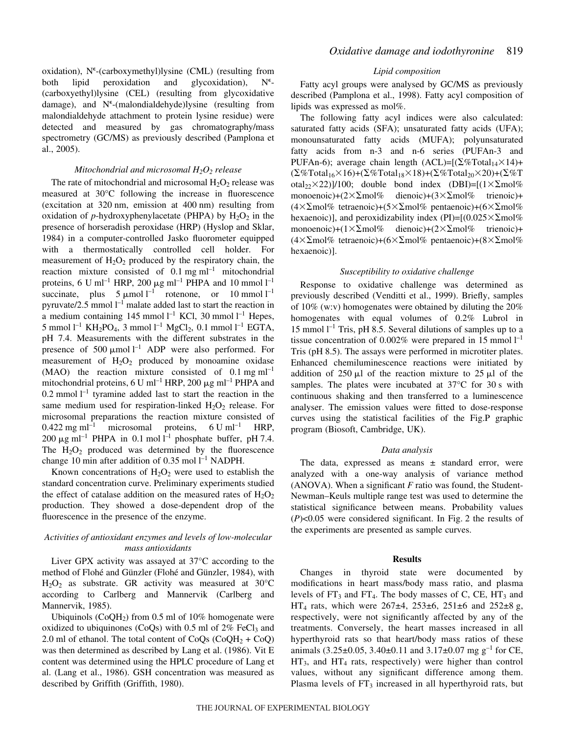oxidation), N -(carboxymethyl)lysine (CML) (resulting from both lipid peroxidation and glycoxidation),  $N^{\epsilon}$ -(carboxyethyl)lysine (CEL) (resulting from glycoxidative damage), and N<sup>e</sup>-(malondialdehyde)lysine (resulting from malondialdehyde attachment to protein lysine residue) were detected and measured by gas chromatography/mass spectrometry (GC/MS) as previously described (Pamplona et al., 2005).

# *Mitochondrial and microsomal H2O2 release*

The rate of mitochondrial and microsomal  $H_2O_2$  release was measured at 30°C following the increase in fluorescence (excitation at  $320 \text{ nm}$ , emission at  $400 \text{ nm}$ ) resulting from oxidation of *p*-hydroxyphenylacetate (PHPA) by  $H_2O_2$  in the presence of horseradish peroxidase (HRP) (Hyslop and Sklar, 1984) in a computer-controlled Jasko fluorometer equipped with a thermostatically controlled cell holder. For measurement of  $H_2O_2$  produced by the respiratory chain, the reaction mixture consisted of  $0.1 \text{ mg ml}^{-1}$  mitochondrial proteins, 6 U ml<sup>-1</sup> HRP, 200  $\mu$ g ml<sup>-1</sup> PHPA and 10 mmol l<sup>-1</sup> succinate, plus  $5 \mu$ mol l<sup>-1</sup> rotenone, or 10 mmol l<sup>-1</sup> pyruvate/2.5 mmol  $l^{-1}$  malate added last to start the reaction in a medium containing  $145$  mmol  $l^{-1}$  KCl, 30 mmol  $l^{-1}$  Hepes, 5 mmol  $l^{-1}$  KH<sub>2</sub>PO<sub>4</sub>, 3 mmol  $l^{-1}$  MgCl<sub>2</sub>, 0.1 mmol  $l^{-1}$  EGTA, pH 7.4. Measurements with the different substrates in the presence of 500  $\mu$ mol<sup>1-1</sup> ADP were also performed. For measurement of  $H_2O_2$  produced by monoamine oxidase (MAO) the reaction mixture consisted of  $0.1~\text{mg}~\text{ml}^{-1}$ mitochondrial proteins,  $6 \text{ U ml}^{-1}$  HRP,  $200 \mu g \text{ ml}^{-1}$  PHPA and  $0.2$  mmol  $l^{-1}$  tyramine added last to start the reaction in the same medium used for respiration-linked  $H_2O_2$  release. For microsomal preparations the reaction mixture consisted of  $0.422 \text{ mg ml}^{-1}$  microsomal proteins,  $6 \text{ U ml}^{-1}$  HRP, 200  $\mu$ g ml<sup>-1</sup> PHPA in 0.1 mol l<sup>-1</sup> phosphate buffer, pH 7.4. The  $H_2O_2$  produced was determined by the fluorescence change 10 min after addition of 0.35 mol  $l^{-1}$  NADPH.

Known concentrations of  $H_2O_2$  were used to establish the standard concentration curve. Preliminary experiments studied the effect of catalase addition on the measured rates of  $H_2O_2$ production. They showed a dose-dependent drop of the fluorescence in the presence of the enzyme.

# *Activities of antioxidant enzymes and levels of low-molecular mass antioxidants*

Liver GPX activity was assayed at 37°C according to the method of Flohé and Günzler (Flohé and Günzler, 1984), with  $H<sub>2</sub>O<sub>2</sub>$  as substrate. GR activity was measured at 30°C according to Carlberg and Mannervik (Carlberg and Mannervik, 1985).

Ubiquinols ( $CoQH<sub>2</sub>$ ) from 0.5 ml of 10% homogenate were oxidized to ubiquinones (CoQs) with 0.5 ml of  $2\%$  FeCl<sub>3</sub> and 2.0 ml of ethanol. The total content of  $CoQs$  (CoQH<sub>2</sub> + CoQ) was then determined as described by Lang et al. (1986). Vit E content was determined using the HPLC procedure of Lang et al. (Lang et al., 1986). GSH concentration was measured as described by Griffith (Griffith, 1980).

# *Lipid composition*

Fatty acyl groups were analysed by GC/MS as previously described (Pamplona et al., 1998). Fatty acyl composition of lipids was expressed as mol%.

The following fatty acyl indices were also calculated: saturated fatty acids (SFA); unsaturated fatty acids (UFA); monounsaturated fatty acids (MUFA); polyunsaturated fatty acids from n-3 and n-6 series (PUFAn-3 and PUFAn-6); average chain length  $(ACL)=[(\Sigma\%Total_{14}\times14)+$  $(\Sigma\% \text{Total}_{16} \times 16)+(\Sigma\% \text{Total}_{18} \times 18)+(\Sigma\% \text{Total}_{20} \times 20)+(\Sigma\% \text{T}$ otal<sub>22</sub>×22)]/100; double bond index (DBI)= $[(1 \times \Sigma \text{mol\%})$ monoenoic)+(2× $\Sigma$ mol% dienoic)+(3× $\Sigma$ mol% trienoic)+  $(4\times\text{2mol}\% \text{ tetraenoic})+(5\times\text{2mol}\% \text{ pentaenoic})+(6\times\text{2mol}\% \text{ }$ hexaenoic)], and peroxidizability index (PI)= $[(0.025 \times \Sigma)$ mol% monoenoic)+(1 $\times$  $\Sigma$ mol% dienoic)+(2 $\times$  $\Sigma$ mol% trienoic)+  $(4\times\text{2} \text{mol}\%$  tetraenoic)+ $(6\times\text{2} \text{mol}\%$  pentaenoic)+ $(8\times\text{2} \text{mol}\%$ hexaenoic)].

#### *Susceptibility to oxidative challenge*

Response to oxidative challenge was determined as previously described (Venditti et al., 1999). Briefly, samples of 10% (w:v) homogenates were obtained by diluting the 20% homogenates with equal volumes of 0.2% Lubrol in 15 mmol  $l^{-1}$  Tris, pH 8.5. Several dilutions of samples up to a tissue concentration of 0.002% were prepared in 15 mmol  $I^{-1}$ Tris (pH 8.5). The assays were performed in microtiter plates. Enhanced chemiluminescence reactions were initiated by addition of  $250 \mu l$  of the reaction mixture to  $25 \mu l$  of the samples. The plates were incubated at  $37^{\circ}$ C for 30 s with continuous shaking and then transferred to a luminescence analyser. The emission values were fitted to dose-response curves using the statistical facilities of the Fig.P graphic program (Biosoft, Cambridge, UK).

#### *Data analysis*

The data, expressed as means  $\pm$  standard error, were analyzed with a one-way analysis of variance method (ANOVA). When a significant *F* ratio was found, the Student-Newman–Keuls multiple range test was used to determine the statistical significance between means. Probability values  $(P)$ <0.05 were considered significant. In Fig. 2 the results of the experiments are presented as sample curves.

#### **Results**

Changes in thyroid state were documented by modifications in heart mass/body mass ratio, and plasma levels of  $FT_3$  and  $FT_4$ . The body masses of C, CE,  $HT_3$  and HT<sub>4</sub> rats, which were  $267\pm4$ ,  $253\pm6$ ,  $251\pm6$  and  $252\pm8$  g, respectively, were not significantly affected by any of the treatments. Conversely, the heart masses increased in all hyperthyroid rats so that heart/body mass ratios of these animals  $(3.25\pm0.05, 3.40\pm0.11$  and  $3.17\pm0.07$  mg g<sup>-1</sup> for CE,  $HT_3$ , and  $HT_4$  rats, respectively) were higher than control values, without any significant difference among them. Plasma levels of  $FT_3$  increased in all hyperthyroid rats, but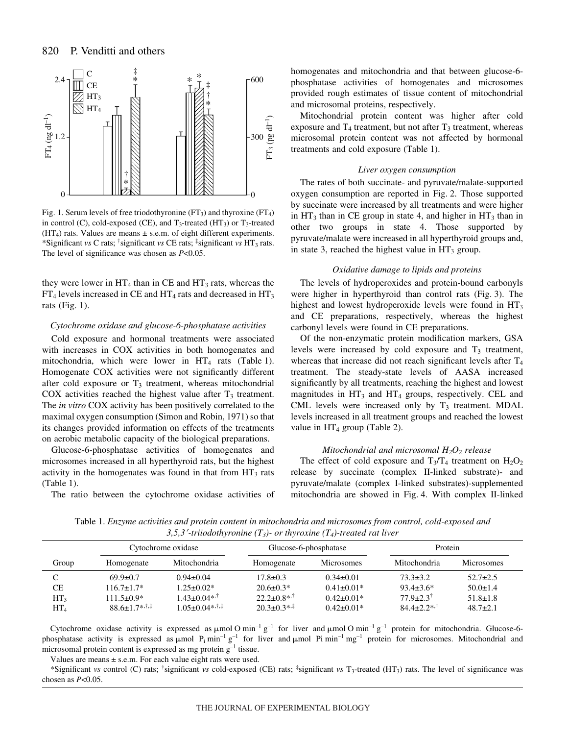

Fig. 1. Serum levels of free triodothyronine (FT<sub>3</sub>) and thyroxine (FT<sub>4</sub>) in control (C), cold-exposed (CE), and  $T_3$ -treated (HT<sub>3</sub>) or  $T_3$ -treated  $(HT<sub>4</sub>)$  rats. Values are means  $\pm$  s.e.m. of eight different experiments. \*Significant *vs* C rats; † significant *vs* CE rats; ‡ significant *vs* HT3 rats. The level of significance was chosen as *P*<0.05.

they were lower in  $HT_4$  than in CE and  $HT_3$  rats, whereas the  $FT_4$  levels increased in CE and  $HT_4$  rats and decreased in  $HT_3$ rats  $(Fig. 1)$ .

### *Cytochrome oxidase and glucose-6-phosphatase activities*

Cold exposure and hormonal treatments were associated with increases in COX activities in both homogenates and mitochondria, which were lower in  $HT<sub>4</sub>$  rats (Table 1). Homogenate COX activities were not significantly different after cold exposure or  $T<sub>3</sub>$  treatment, whereas mitochondrial COX activities reached the highest value after  $T_3$  treatment. The *in vitro* COX activity has been positively correlated to the maximal oxygen consumption (Simon and Robin, 1971) so that its changes provided information on effects of the treatments on aerobic metabolic capacity of the biological preparations.

Glucose-6-phosphatase activities of homogenates and microsomes increased in all hyperthyroid rats, but the highest activity in the homogenates was found in that from  $HT_3$  rats  $(Table 1)$ .

The ratio between the cytochrome oxidase activities of

homogenates and mitochondria and that between glucose-6 phosphatase activities of homogenates and microsomes provided rough estimates of tissue content of mitochondrial and microsomal proteins, respectively.

Mitochondrial protein content was higher after cold exposure and  $T_4$  treatment, but not after  $T_3$  treatment, whereas microsomal protein content was not affected by hormonal treatments and cold exposure (Table 1).

#### *Liver oxygen consumption*

The rates of both succinate- and pyruvate/malate-supported oxygen consumption are reported in Fig. 2. Those supported by succinate were increased by all treatments and were higher in  $HT_3$  than in CE group in state 4, and higher in  $HT_3$  than in other two groups in state 4. Those supported by pyruvate/malate were increased in all hyperthyroid groups and, in state 3, reached the highest value in  $HT_3$  group.

# *Oxidative damage to lipids and proteins*

The levels of hydroperoxides and protein-bound carbonyls were higher in hyperthyroid than control rats (Fig. 3). The highest and lowest hydroperoxide levels were found in HT<sub>3</sub> and CE preparations, respectively, whereas the highest carbonyl levels were found in CE preparations.

Of the non-enzymatic protein modification markers, GSA levels were increased by cold exposure and  $T_3$  treatment, whereas that increase did not reach significant levels after  $T_4$ treatment. The steady-state levels of AASA increased significantly by all treatments, reaching the highest and lowest magnitudes in  $HT_3$  and  $HT_4$  groups, respectively. CEL and CML levels were increased only by  $T_3$  treatment. MDAL levels increased in all treatment groups and reached the lowest value in  $HT_4$  group (Table 2).

### *Mitochondrial and microsomal H2O2 release*

The effect of cold exposure and  $T_3/T_4$  treatment on  $H_2O_2$ release by succinate (complex II-linked substrate)- and pyruvate/malate (complex I-linked substrates)-supplemented mitochondria are showed in Fig. 4. With complex II-linked

Table 1. *Enzyme activities and protein content in mitochondria and microsomes from control, cold-exposed and 3,5,3*-*-triiodothyronine (T3)- or thyroxine (T4)-treated rat liver*

|                 | Cytochrome oxidase          |                                  | Glucose-6-phosphatase         |                   | Protein                    |                   |
|-----------------|-----------------------------|----------------------------------|-------------------------------|-------------------|----------------------------|-------------------|
| Group           | Homogenate                  | Mitochondria                     | Homogenate                    | <b>Microsomes</b> | Mitochondria               | <b>Microsomes</b> |
|                 | $69.9 + 0.7$                | $0.94 \pm 0.04$                  | $17.8 \pm 0.3$                | $0.34 \pm 0.01$   | $73.3 \pm 3.2$             | $52.7 \pm 2.5$    |
| СE              | $116.7 + 1.7*$              | $1.25 + 0.02*$                   | $20.6 \pm 0.3*$               | $0.41 \pm 0.01*$  | $93.4 \pm 3.6^*$           | $50.0 \pm 1.4$    |
| HT <sub>3</sub> | $111.5\pm0.9*$              | $1.43 + 0.04**$                  | $22.2 \pm 0.8$ * <sup>*</sup> | $0.42 + 0.01*$    | $77.9 + 2.3$ <sup>†</sup>  | $51.8 \pm 1.8$    |
| HT <sub>4</sub> | $88.6 \pm 1.7$ ** $\cdot$ * | $1.05 \pm 0.04$ ** $\frac{1}{7}$ | $20.3+0.3**$                  | $0.42 + 0.01*$    | $84.4 + 2.2$ <sup>**</sup> | $48.7 \pm 2.1$    |

Cytochrome oxidase activity is expressed as  $\mu$ mol O min<sup>-1</sup> g<sup>-1</sup> for liver and  $\mu$ mol O min<sup>-1</sup> g<sup>-1</sup> protein for mitochondria. Glucose-6phosphatase activity is expressed as  $\mu$ mol P<sub>i</sub> min<sup>-1</sup> g<sup>-1</sup> for liver and  $\mu$ mol Pi $\min^{-1} mg^{-1}$  protein for microsomes. Mitochondrial and microsomal protein content is expressed as mg protein  $g^{-1}$  tissue.

Values are means  $\pm$  s.e.m. For each value eight rats were used.

\*Significant *vs* control (C) rats; <sup>†</sup>significant *vs* cold-exposed (CE) rats; <sup>‡</sup>significant *vs* T<sub>3</sub>-treated (HT<sub>3</sub>) rats. The level of significance was chosen as *P*<0.05.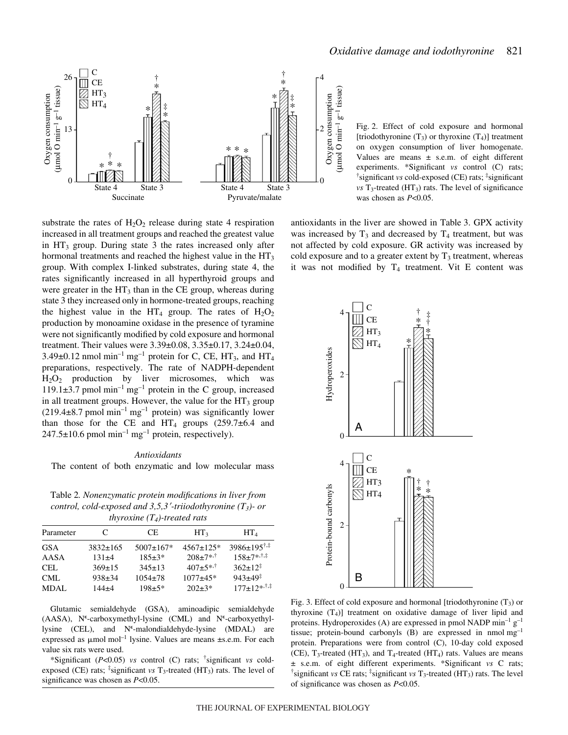

substrate the rates of  $H_2O_2$  release during state 4 respiration increased in all treatment groups and reached the greatest value in  $HT_3$  group. During state 3 the rates increased only after hormonal treatments and reached the highest value in the  $HT_3$ group. With complex I-linked substrates, during state 4, the rates significantly increased in all hyperthyroid groups and were greater in the  $HT_3$  than in the CE group, whereas during state 3 they increased only in hormone-treated groups, reaching the highest value in the HT<sub>4</sub> group. The rates of  $H_2O_2$ production by monoamine oxidase in the presence of tyramine were not significantly modified by cold exposure and hormonal treatment. Their values were 3.39±0.08, 3.35±0.17, 3.24±0.04, 3.49 $\pm$ 0.12 nmol min<sup>-1</sup> mg<sup>-1</sup> protein for C, CE, HT<sub>3</sub>, and HT<sub>4</sub> preparations, respectively. The rate of NADPH-dependent  $H<sub>2</sub>O<sub>2</sub>$  production by liver microsomes, which was 119.1 $\pm$ 3.7 pmol min<sup>-1</sup> mg<sup>-1</sup> protein in the C group, increased in all treatment groups. However, the value for the  $HT_3$  group  $(219.4\pm8.7~\text{pmol}\;min^{-1}~\text{mg}^{-1}$  protein) was significantly lower than those for the CE and  $HT_4$  groups (259.7 $\pm$ 6.4 and  $247.5\pm10.6$  pmol min<sup>-1</sup> mg<sup>-1</sup> protein, respectively).

#### *Antioxidants*

The content of both enzymatic and low molecular mass

Table·2*. Nonenzymatic protein modifications in liver from control, cold-exposed and 3,5,3*-*-triiodothyronine (T3)- or thyroxine (T4)-treated rats*

| Parameter  | C              | CЕ               | HT <sub>3</sub>   | HT <sub>4</sub>               |
|------------|----------------|------------------|-------------------|-------------------------------|
| <b>GSA</b> | $3832 \pm 165$ | $5007 \pm 167$ * | $4567 \pm 125*$   | $3986 \pm 195$ <sup>†,‡</sup> |
| AASA       | $131 + 4$      | $185+3*$         | $208 \pm 7^{*,+}$ | $158 \pm 7^{*,+}$             |
| CEL.       | $369 \pm 15$   | $345 \pm 13$     | $407+5**$         | $362 \pm 12^{\ddagger}$       |
| CML        | $938+34$       | $1054 \pm 78$    | $1077 + 45*$      | $943 \pm 49^{\ddagger}$       |
| MDAL.      | 144+4          | $198+5*$         | $202+3*$          | $177 \pm 12^{*,+}$            |

Glutamic semialdehyde (GSA), aminoadipic semialdehyde (AASA), N<sup>e</sup>-carboxymethyl-lysine (CML) and N<sup>e</sup>-carboxyethyllysine (CEL), and N<sup>e</sup>-malondialdehyde-lysine (MDAL) are expressed as  $\mu$ mol mol<sup>-1</sup> lysine. Values are means  $\pm$ s.e.m. For each value six rats were used.

\*Significant (*P*<0.05) *vs* control (C) rats; † significant *vs* coldexposed (CE) rats;  $\frac{4}{3}$ significant *vs* T<sub>3</sub>-treated (HT<sub>3</sub>) rats. The level of significance was chosen as *P*<0.05.

Fig. 2. Effect of cold exposure and hormonal [triodothyronine  $(T_3)$  or thyroxine  $(T_4)$ ] treatment on oxygen consumption of liver homogenate. Values are means  $\pm$  s.e.m. of eight different experiments. \*Significant *vs* control (C) rats; † significant *vs* cold-exposed (CE) rats; ‡ significant  $vs$  T<sub>3</sub>-treated (HT<sub>3</sub>) rats. The level of significance was chosen as  $P<0.05$ .

antioxidants in the liver are showed in Table 3. GPX activity was increased by  $T_3$  and decreased by  $T_4$  treatment, but was not affected by cold exposure. GR activity was increased by cold exposure and to a greater extent by  $T_3$  treatment, whereas it was not modified by  $T_4$  treatment. Vit E content was



Fig. 3. Effect of cold exposure and hormonal [triodothyronine  $(T_3)$  or thyroxine  $(T_4)$ ] treatment on oxidative damage of liver lipid and proteins. Hydroperoxides (A) are expressed in pmol NADP  $min^{-1} g^{-1}$ tissue; protein-bound carbonyls (B) are expressed in nmol  $mg^{-1}$ protein. Preparations were from control (C), 10-day cold exposed (CE),  $T_3$ -treated (HT<sub>3</sub>), and  $T_4$ -treated (HT<sub>4</sub>) rats. Values are means ± s.e.m. of eight different experiments. \*Significant *vs* C rats; <sup>†</sup>significant *vs* CE rats;  $\frac{1}{3}$ significant *vs* T<sub>3</sub>-treated (HT<sub>3</sub>) rats. The level of significance was chosen as *P*<0.05.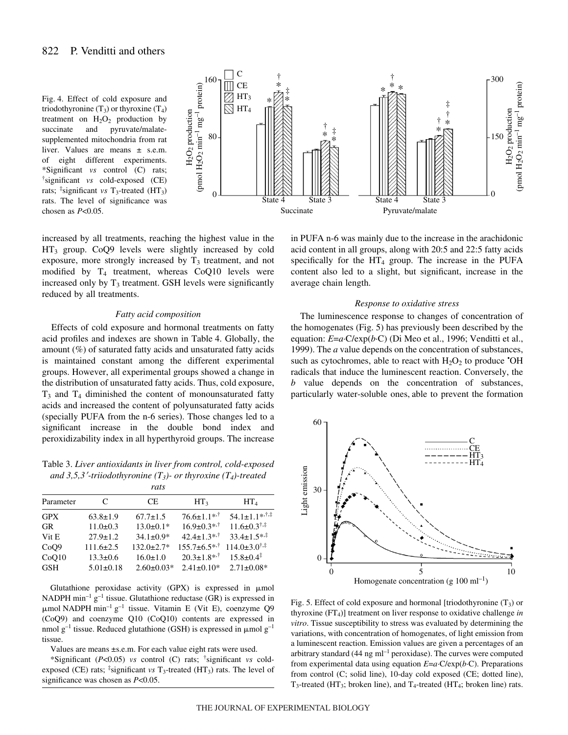#### 822 P. Venditti and others

Fig. 4. Effect of cold exposure and triodothyronine  $(T_3)$  or thyroxine  $(T_4)$ treatment on  $H_2O_2$  production by succinate and pyruvate/malatesupplemented mitochondria from rat liver. Values are means ± s.e.m. of eight different experiments. \*Significant *vs* control (C) rats; † significant *vs* cold-exposed (CE) rats; <sup>‡</sup>significant *vs* T<sub>3</sub>-treated (HT<sub>3</sub>) rats. The level of significance was chosen as *P*<0.05.



increased by all treatments, reaching the highest value in the HT<sub>3</sub> group. CoQ9 levels were slightly increased by cold exposure, more strongly increased by  $T<sub>3</sub>$  treatment, and not modified by  $T_4$  treatment, whereas  $CoQ10$  levels were increased only by  $T_3$  treatment. GSH levels were significantly reduced by all treatments.

#### *Fatty acid composition*

Effects of cold exposure and hormonal treatments on fatty acid profiles and indexes are shown in Table 4. Globally, the amount (%) of saturated fatty acids and unsaturated fatty acids is maintained constant among the different experimental groups. However, all experimental groups showed a change in the distribution of unsaturated fatty acids. Thus, cold exposure,  $T_3$  and  $T_4$  diminished the content of monounsaturated fatty acids and increased the content of polyunsaturated fatty acids (specially PUFA from the n-6 series). Those changes led to a significant increase in the double bond index and peroxidizability index in all hyperthyroid groups. The increase

Table 3. *Liver antioxidants in liver from control, cold-exposed and 3,5,3*-*-triiodothyronine (T3)- or thyroxine (T4)-treated rats* 

|                 | 1000             |                                |                               |
|-----------------|------------------|--------------------------------|-------------------------------|
| C               | CЕ               | HT <sub>3</sub>                | HT <sub>4</sub>               |
| $63.8 \pm 1.9$  | $67.7 \pm 1.5$   | $76.6 \pm 1.1$ * <sup>*</sup>  | $54.1 \pm 1.1^{*,+}$          |
| $11.0 \pm 0.3$  | $13.0 \pm 0.1*$  | $16.9 \pm 0.3$ * <sup>*</sup>  | $11.6 \pm 0.3$ <sup>†,‡</sup> |
| $27.9 \pm 1.2$  | $34.1 \pm 0.9*$  | $42.4 \pm 1.3$ * <sup>*</sup>  | $33.4 \pm 1.5$ **             |
| $111.6 \pm 2.5$ | $132.0 \pm 2.7*$ | $155.7 \pm 6.5$ * <sup>*</sup> | $114.0\pm3.0$ <sup>†,‡</sup>  |
| $13.3 \pm 0.6$  | $16.0 \pm 1.0$   | $20.3 \pm 1.8$ * <sup>1</sup>  | $15.8 \pm 0.4^{\ddagger}$     |
| $5.01 \pm 0.18$ | $2.60 \pm 0.03*$ | $2.41 \pm 0.10^*$              | $2.71 \pm 0.08*$              |
|                 |                  |                                |                               |

Glutathione peroxidase activity  $(GPX)$  is expressed in  $\mu$ mol NADPH  $min^{-1} g^{-1}$  tissue. Glutathione reductase (GR) is expressed in  $\mu$ mol NADPH min<sup>-1</sup> g<sup>-1</sup> tissue. Vitamin E (Vit E), coenzyme Q9 (CoQ9) and coenzyme Q10 (CoQ10) contents are expressed in nmol  $g^{-1}$  tissue. Reduced glutathione (GSH) is expressed in  $\mu$ mol  $g^{-1}$ tissue.

Values are means ±s.e.m. For each value eight rats were used.

\*Significant (*P*<0.05) *vs* control (C) rats; † significant *vs* coldexposed (CE) rats;  $\frac{4}{3}$  significant *vs* T<sub>3</sub>-treated (HT<sub>3</sub>) rats. The level of significance was chosen as *P*<0.05.

in PUFA n-6 was mainly due to the increase in the arachidonic acid content in all groups, along with 20:5 and 22:5 fatty acids specifically for the  $HT_4$  group. The increase in the PUFA content also led to a slight, but significant, increase in the average chain length.

#### *Response to oxidative stress*

The luminescence response to changes of concentration of the homogenates (Fig.·5) has previously been described by the equation: *E*=*a*·C/exp(*b*·C) (Di Meo et al., 1996; Venditti et al., 1999). The *a* value depends on the concentration of substances, such as cytochromes, able to react with  $H_2O_2$  to produce 'OH radicals that induce the luminescent reaction. Conversely, the *b* value depends on the concentration of substances, particularly water-soluble ones, able to prevent the formation



Fig. 5. Effect of cold exposure and hormonal [triodothyronine  $(T_3)$  or thyroxine (FT4)] treatment on liver response to oxidative challenge *in vitro*. Tissue susceptibility to stress was evaluated by determining the variations, with concentration of homogenates, of light emission from a luminescent reaction. Emission values are given a percentages of an arbitrary standard  $(44 \text{ ng ml}^{-1}$  peroxidase). The curves were computed from experimental data using equation *E*=*a*·C/exp(*b*·C). Preparations from control (C; solid line), 10-day cold exposed (CE; dotted line),  $T_3$ -treated (HT<sub>3</sub>; broken line), and  $T_4$ -treated (HT<sub>4</sub>; broken line) rats.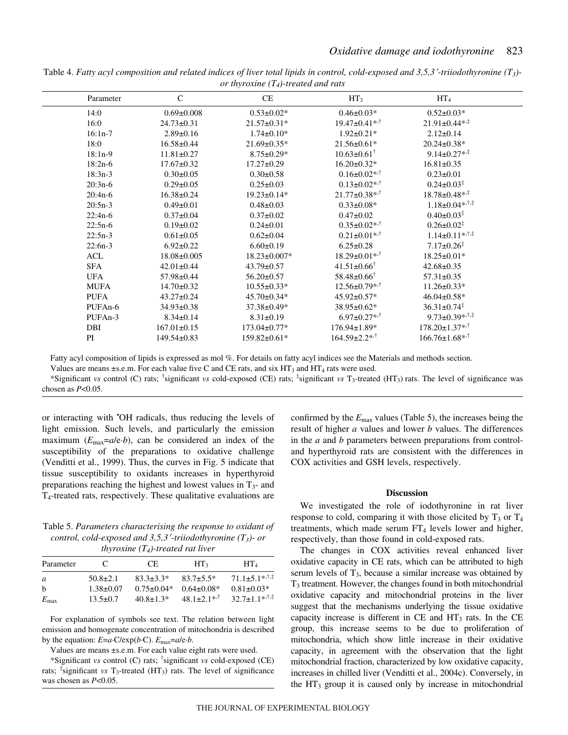| Parameter   | $\mathcal{C}$     | CE                  | $HT_3$                          | HT <sub>4</sub>                  |  |
|-------------|-------------------|---------------------|---------------------------------|----------------------------------|--|
| 14:0        | $0.69 \pm 0.008$  | $0.53 \pm 0.02*$    | $0.46 \pm 0.03*$                | $0.52 \pm 0.03*$                 |  |
| 16:0        | $24.73 \pm 0.31$  | $21.57 \pm 0.31*$   | $19.47 \pm 0.41$ <sup>**</sup>  | $21.91 \pm 0.44$ **              |  |
| $16:1n-7$   | $2.89 \pm 0.16$   | $1.74 \pm 0.10^*$   | $1.92 \pm 0.21*$                | $2.12 \pm 0.14$                  |  |
| 18:0        | $16.58 \pm 0.44$  | $21.69 \pm 0.35*$   | $21.56 \pm 0.61*$               | $20.24 \pm 0.38*$                |  |
| $18:1n-9$   | $11.81 \pm 0.27$  | $8.75 \pm 0.29*$    | $10.63 \pm 0.61^{\dagger}$      | $9.14 \pm 0.27$ **               |  |
| $18:2n-6$   | $17.67 \pm 0.32$  | $17.27 \pm 0.29$    | $16.20 \pm 0.32$ *              | $16.81 \pm 0.35$                 |  |
| $18:3n-3$   | $0.30 \pm 0.05$   | $0.30 \pm 0.58$     | $0.16 \pm 0.02$ * <sup>*</sup>  | $0.23 \pm 0.01$                  |  |
| $20:3n-6$   | $0.29 \pm 0.05$   | $0.25 \pm 0.03$     | $0.13 \pm 0.02$ * <sup>*</sup>  | $0.24 \pm 0.03^*$                |  |
| $20:4n-6$   | $16.38 \pm 0.24$  | $19.23 \pm 0.14*$   | $21.77 \pm 0.38$ * <sup>*</sup> | $18.78 \pm 0.48$ **              |  |
| $20:5n-3$   | $0.49 \pm 0.01$   | $0.48 \pm 0.03$     | $0.33 \pm 0.08*$                | $1.18 \pm 0.04$ ****             |  |
| $22:4n-6$   | $0.37 \pm 0.04$   | $0.37 \pm 0.02$     | $0.47 \pm 0.02$                 | $0.40 \pm 0.03^*$                |  |
| $22:5n-6$   | $0.19 \pm 0.02$   | $0.24 \pm 0.01$     | $0.35 \pm 0.02$ * <sup>*</sup>  | $0.26 \pm 0.02^{\ddagger}$       |  |
| $22:5n-3$   | $0.61 \pm 0.05$   | $0.62 \pm 0.04$     | $0.21 \pm 0.01$ * <sup>*</sup>  | $1.14 \pm 0.11$ ****             |  |
| $22:6n-3$   | $6.92 \pm 0.22$   | $6.60 \pm 0.19$     | $6.25 \pm 0.28$                 | $7.17 \pm 0.26^{\ddagger}$       |  |
| ACL         | $18.08 \pm 0.005$ | $18.23 \pm 0.007*$  | $18.29 \pm 0.01$ **             | $18.25 \pm 0.01*$                |  |
| <b>SFA</b>  | $42.01 \pm 0.44$  | $43.79 \pm 0.57$    | $41.51 \pm 0.66^{\dagger}$      | $42.68 \pm 0.35$                 |  |
| UFA         | $57.98 \pm 0.44$  | $56.20 \pm 0.57$    | $58.48 \pm 0.66^{\dagger}$      | $57.31 \pm 0.35$                 |  |
| <b>MUFA</b> | $14.70 \pm 0.32$  | $10.55 \pm 0.33*$   | $12.56 \pm 0.79$ **             | $11.26 \pm 0.33*$                |  |
| <b>PUFA</b> | $43.27 \pm 0.24$  | $45.70 \pm 0.34*$   | $45.92 \pm 0.57$ *              | $46.04 \pm 0.58$ *               |  |
| PUFAn-6     | $34.93 \pm 0.38$  | $37.38 \pm 0.49*$   | $38.95 \pm 0.62^*$              | $36.31 \pm 0.74^{\ddagger}$      |  |
| PUFAn-3     | $8.34 \pm 0.14$   | $8.31 \pm 0.19$     | $6.97 \pm 0.27$ **              | $9.73 \pm 0.39$ ****             |  |
| DBI         | $167.01 \pm 0.15$ | $173.04 \pm 0.77$ * | $176.94 \pm 1.89*$              | $178.20 \pm 1.37 \cdot$ *        |  |
| PI          | $149.54\pm0.83$   | $159.82 \pm 0.61*$  | $164.59 \pm 2.2$ * <sup>*</sup> | $166.76 \pm 1.68$ * <sup>*</sup> |  |
|             |                   |                     |                                 |                                  |  |

Table 4. *Fatty acyl composition and related indices of liver total lipids in control, cold-exposed and 3,5,3'-triiodothyronine (T<sub>3</sub>)or thyroxine (T4)-treated and rats* 

Fatty acyl composition of lipids is expressed as mol %. For details on fatty acyl indices see the Materials and methods section.

Values are means  $\pm$ s.e.m. For each value five C and CE rats, and six HT<sub>3</sub> and HT<sub>4</sub> rats were used.

\*Significant *vs* control (C) rats; <sup>†</sup>significant *vs* cold-exposed (CE) rats; <sup>‡</sup>significant *vs* T<sub>3</sub>-treated (HT<sub>3</sub>) rats. The level of significance was chosen as *P*<0.05.

or interacting with • OH radicals, thus reducing the levels of light emission. Such levels, and particularly the emission maximum ( $E_{\text{max}}=a/e·b$ ), can be considered an index of the susceptibility of the preparations to oxidative challenge (Venditti et al., 1999). Thus, the curves in Fig. 5 indicate that tissue susceptibility to oxidants increases in hyperthyroid preparations reaching the highest and lowest values in  $T_3$ - and T4-treated rats, respectively. These qualitative evaluations are

Table 5. *Parameters characterising the response to oxidant of control, cold-exposed and 3,5,3*-*-triiodothyronine (T3)- or thyroxine (T4)-treated rat liver*

| <i>live called (14) arctica radiover</i> |                 |                  |                             |                     |  |
|------------------------------------------|-----------------|------------------|-----------------------------|---------------------|--|
| Parameter                                |                 | CE.              | HT <sub>3</sub>             | $HT_{4}$            |  |
| a                                        | $50.8 \pm 2.1$  | $83.3 \pm 3.3*$  | $83.7 \pm 5.5*$             | $71.1 \pm 5.1$ **** |  |
| b                                        | $1.38 \pm 0.07$ | $0.75 \pm 0.04*$ | $0.64 \pm 0.08*$            | $0.81 \pm 0.03*$    |  |
| $E_{\rm max}$                            | $13.5 \pm 0.7$  | $40.8 + 1.3*$    | $48.1 + 2.1$ * <sup>1</sup> | $32.7 \pm 1.1$ **** |  |

For explanation of symbols see text. The relation between light emission and homogenate concentration of mitochondria is described by the equation:  $E=a \cdot C/exp(b \cdot C)$ .  $E_{\text{max}}=a/e \cdot b$ .

Values are means ±s.e.m. For each value eight rats were used.

\*Significant *vs* control (C) rats; † significant *vs* cold-exposed (CE) rats; <sup>‡</sup>significant *vs* T<sub>3</sub>-treated (HT<sub>3</sub>) rats. The level of significance was chosen as *P*<0.05.

confirmed by the  $E_{\text{max}}$  values (Table 5), the increases being the result of higher *a* values and lower *b* values. The differences in the *a* and *b* parameters between preparations from controland hyperthyroid rats are consistent with the differences in COX activities and GSH levels, respectively.

# **Discussion**

We investigated the role of iodothyronine in rat liver response to cold, comparing it with those elicited by  $T_3$  or  $T_4$ treatments, which made serum  $FT<sub>4</sub>$  levels lower and higher, respectively, than those found in cold-exposed rats.

The changes in COX activities reveal enhanced liver oxidative capacity in CE rats, which can be attributed to high serum levels of  $T_3$ , because a similar increase was obtained by T3 treatment. However, the changes found in both mitochondrial oxidative capacity and mitochondrial proteins in the liver suggest that the mechanisms underlying the tissue oxidative capacity increase is different in  $CE$  and  $HT_3$  rats. In the  $CE$ group, this increase seems to be due to proliferation of mitochondria, which show little increase in their oxidative capacity, in agreement with the observation that the light mitochondrial fraction, characterized by low oxidative capacity, increases in chilled liver (Venditti et al., 2004c). Conversely, in the  $HT_3$  group it is caused only by increase in mitochondrial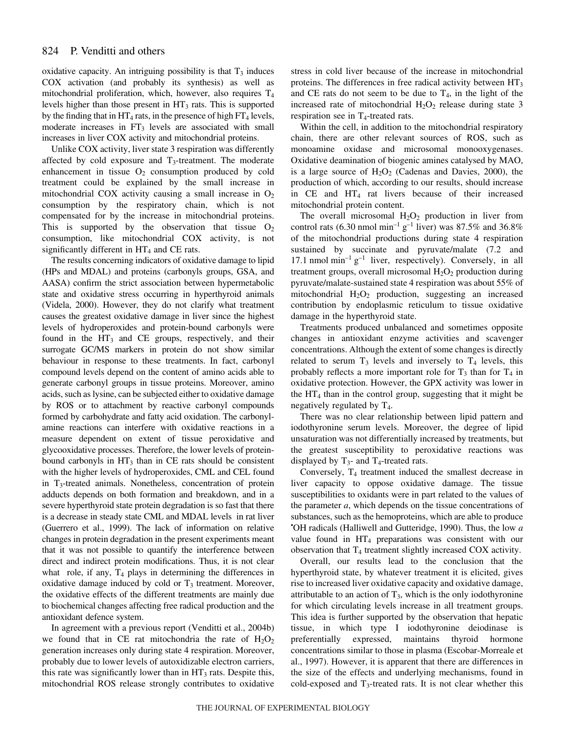oxidative capacity. An intriguing possibility is that  $T_3$  induces COX activation (and probably its synthesis) as well as mitochondrial proliferation, which, however, also requires  $T_4$ levels higher than those present in  $HT_3$  rats. This is supported by the finding that in  $HT_4$  rats, in the presence of high  $FT_4$  levels, moderate increases in  $FT_3$  levels are associated with small increases in liver COX activity and mitochondrial proteins.

Unlike COX activity, liver state 3 respiration was differently affected by cold exposure and  $T_3$ -treatment. The moderate enhancement in tissue  $O_2$  consumption produced by cold treatment could be explained by the small increase in mitochondrial COX activity causing a small increase in  $O_2$ consumption by the respiratory chain, which is not compensated for by the increase in mitochondrial proteins. This is supported by the observation that tissue  $O_2$ consumption, like mitochondrial COX activity, is not significantly different in  $HT<sub>4</sub>$  and CE rats.

The results concerning indicators of oxidative damage to lipid (HPs and MDAL) and proteins (carbonyls groups, GSA, and AASA) confirm the strict association between hypermetabolic state and oxidative stress occurring in hyperthyroid animals (Videla, 2000). However, they do not clarify what treatment causes the greatest oxidative damage in liver since the highest levels of hydroperoxides and protein-bound carbonyls were found in the  $HT_3$  and CE groups, respectively, and their surrogate GC/MS markers in protein do not show similar behaviour in response to these treatments. In fact, carbonyl compound levels depend on the content of amino acids able to generate carbonyl groups in tissue proteins. Moreover, amino acids, such as lysine, can be subjected either to oxidative damage by ROS or to attachment by reactive carbonyl compounds formed by carbohydrate and fatty acid oxidation. The carbonylamine reactions can interfere with oxidative reactions in a measure dependent on extent of tissue peroxidative and glycooxidative processes. Therefore, the lower levels of proteinbound carbonyls in  $HT_3$  than in CE rats should be consistent with the higher levels of hydroperoxides, CML and CEL found in T3-treated animals. Nonetheless, concentration of protein adducts depends on both formation and breakdown, and in a severe hyperthyroid state protein degradation is so fast that there is a decrease in steady state CML and MDAL levels in rat liver (Guerrero et al., 1999). The lack of information on relative changes in protein degradation in the present experiments meant that it was not possible to quantify the interference between direct and indirect protein modifications. Thus, it is not clear what role, if any,  $T_4$  plays in determining the differences in oxidative damage induced by cold or  $T_3$  treatment. Moreover, the oxidative effects of the different treatments are mainly due to biochemical changes affecting free radical production and the antioxidant defence system.

In agreement with a previous report (Venditti et al., 2004b) we found that in CE rat mitochondria the rate of  $H_2O_2$ generation increases only during state 4 respiration. Moreover, probably due to lower levels of autoxidizable electron carriers, this rate was significantly lower than in  $HT_3$  rats. Despite this, mitochondrial ROS release strongly contributes to oxidative

stress in cold liver because of the increase in mitochondrial proteins. The differences in free radical activity between  $HT_3$ and CE rats do not seem to be due to  $T<sub>4</sub>$ , in the light of the increased rate of mitochondrial  $H_2O_2$  release during state 3 respiration see in T4-treated rats.

Within the cell, in addition to the mitochondrial respiratory chain, there are other relevant sources of ROS, such as monoamine oxidase and microsomal monooxygenases. Oxidative deamination of biogenic amines catalysed by MAO, is a large source of  $H_2O_2$  (Cadenas and Davies, 2000), the production of which, according to our results, should increase in CE and HT4 rat livers because of their increased mitochondrial protein content.

The overall microsomal  $H_2O_2$  production in liver from control rats (6.30 nmol min<sup>-1</sup> g<sup>-1</sup> liver) was 87.5% and 36.8% of the mitochondrial productions during state 4 respiration sustained by succinate and pyruvate/malate (7.2 and 17.1 nmol  $min^{-1} g^{-1}$  liver, respectively). Conversely, in all treatment groups, overall microsomal  $H_2O_2$  production during pyruvate/malate-sustained state 4 respiration was about 55% of mitochondrial  $H_2O_2$  production, suggesting an increased contribution by endoplasmic reticulum to tissue oxidative damage in the hyperthyroid state.

Treatments produced unbalanced and sometimes opposite changes in antioxidant enzyme activities and scavenger concentrations. Although the extent of some changes is directly related to serum  $T_3$  levels and inversely to  $T_4$  levels, this probably reflects a more important role for  $T_3$  than for  $T_4$  in oxidative protection. However, the GPX activity was lower in the  $HT_4$  than in the control group, suggesting that it might be negatively regulated by  $T_4$ .

There was no clear relationship between lipid pattern and iodothyronine serum levels. Moreover, the degree of lipid unsaturation was not differentially increased by treatments, but the greatest susceptibility to peroxidative reactions was displayed by  $T_3$ - and  $T_4$ -treated rats.

Conversely,  $T_4$  treatment induced the smallest decrease in liver capacity to oppose oxidative damage. The tissue susceptibilities to oxidants were in part related to the values of the parameter *a*, which depends on the tissue concentrations of substances, such as the hemoproteins, which are able to produce • OH radicals (Halliwell and Gutteridge, 1990). Thus, the low *a* value found in  $HT_4$  preparations was consistent with our observation that T4 treatment slightly increased COX activity.

Overall, our results lead to the conclusion that the hyperthyroid state, by whatever treatment it is elicited, gives rise to increased liver oxidative capacity and oxidative damage, attributable to an action of  $T_3$ , which is the only iodothyronine for which circulating levels increase in all treatment groups. This idea is further supported by the observation that hepatic tissue, in which type I iodothyronine deiodinase is preferentially expressed, maintains thyroid hormone concentrations similar to those in plasma (Escobar-Morreale et al., 1997). However, it is apparent that there are differences in the size of the effects and underlying mechanisms, found in cold-exposed and  $T_3$ -treated rats. It is not clear whether this